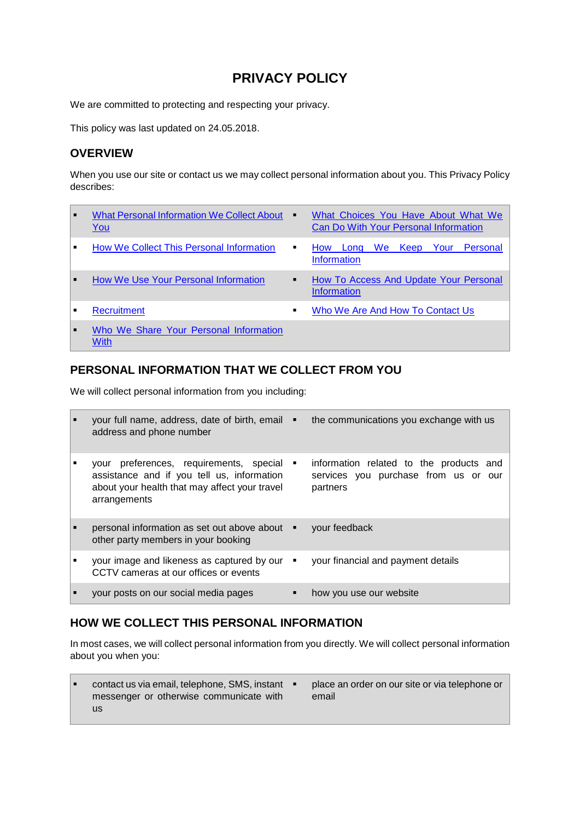# **PRIVACY POLICY**

We are committed to protecting and respecting your privacy.

This policy was last updated on 24.05.2018.

# **OVERVIEW**

When you use our site or contact us we may collect personal information about you. This Privacy Policy describes:

| ı.             | What Personal Information We Collect About<br>You     | ٠              | What Choices You Have About What We<br><b>Can Do With Your Personal Information</b> |
|----------------|-------------------------------------------------------|----------------|-------------------------------------------------------------------------------------|
| $\blacksquare$ | How We Collect This Personal Information              | ٠              | We<br>Keep Your Personal<br><b>How</b><br>Long<br><b>Information</b>                |
| H              | How We Use Your Personal Information                  | ٠              | How To Access And Update Your Personal<br><b>Information</b>                        |
| $\blacksquare$ | <b>Recruitment</b>                                    | $\blacksquare$ | Who We Are And How To Contact Us                                                    |
| l .            | Who We Share Your Personal Information<br><b>With</b> |                |                                                                                     |

# <span id="page-0-0"></span>**PERSONAL INFORMATION THAT WE COLLECT FROM YOU**

We will collect personal information from you including:

| your full name, address, date of birth, email $\blacksquare$<br>address and phone number                                                                  |   | the communications you exchange with us                                                     |
|-----------------------------------------------------------------------------------------------------------------------------------------------------------|---|---------------------------------------------------------------------------------------------|
| preferences, requirements, special<br>vour<br>assistance and if you tell us, information<br>about your health that may affect your travel<br>arrangements | ٠ | information related to the products and<br>services you purchase from us or our<br>partners |
| personal information as set out above about $\blacksquare$<br>other party members in your booking                                                         |   | your feedback                                                                               |
| your image and likeness as captured by our<br>CCTV cameras at our offices or events                                                                       | л | your financial and payment details                                                          |
| your posts on our social media pages                                                                                                                      |   | how you use our website                                                                     |

# <span id="page-0-1"></span>**HOW WE COLLECT THIS PERSONAL INFORMATION**

In most cases, we will collect personal information from you directly. We will collect personal information about you when you:

▪ contact us via email, telephone, SMS, instant messenger or otherwise communicate with us place an order on our site or via telephone or email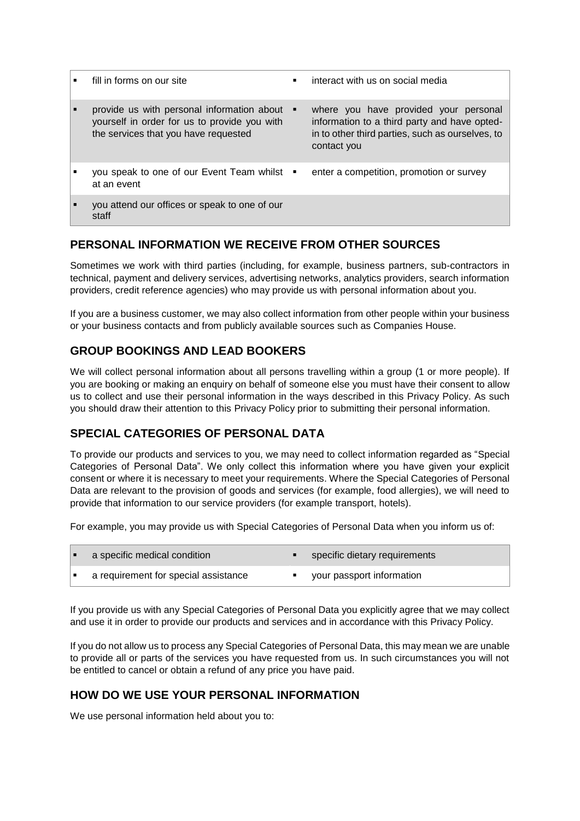| fill in forms on our site                                                                                                            | ٠ | interact with us on social media                                                                                                                         |
|--------------------------------------------------------------------------------------------------------------------------------------|---|----------------------------------------------------------------------------------------------------------------------------------------------------------|
| provide us with personal information about •<br>yourself in order for us to provide you with<br>the services that you have requested |   | where you have provided your personal<br>information to a third party and have opted-<br>in to other third parties, such as ourselves, to<br>contact you |
| you speak to one of our Event Team whilst .<br>at an event                                                                           |   | enter a competition, promotion or survey                                                                                                                 |
| you attend our offices or speak to one of our<br>staff                                                                               |   |                                                                                                                                                          |

# **PERSONAL INFORMATION WE RECEIVE FROM OTHER SOURCES**

Sometimes we work with third parties (including, for example, business partners, sub-contractors in technical, payment and delivery services, advertising networks, analytics providers, search information providers, credit reference agencies) who may provide us with personal information about you.

If you are a business customer, we may also collect information from other people within your business or your business contacts and from publicly available sources such as Companies House.

# **GROUP BOOKINGS AND LEAD BOOKERS**

We will collect personal information about all persons travelling within a group (1 or more people). If you are booking or making an enquiry on behalf of someone else you must have their consent to allow us to collect and use their personal information in the ways described in this Privacy Policy. As such you should draw their attention to this Privacy Policy prior to submitting their personal information.

# **SPECIAL CATEGORIES OF PERSONAL DATA**

To provide our products and services to you, we may need to collect information regarded as "Special Categories of Personal Data". We only collect this information where you have given your explicit consent or where it is necessary to meet your requirements. Where the Special Categories of Personal Data are relevant to the provision of goods and services (for example, food allergies), we will need to provide that information to our service providers (for example transport, hotels).

For example, you may provide us with Special Categories of Personal Data when you inform us of:

| a specific medical condition         | specific dietary requirements |
|--------------------------------------|-------------------------------|
| a requirement for special assistance | your passport information     |

If you provide us with any Special Categories of Personal Data you explicitly agree that we may collect and use it in order to provide our products and services and in accordance with this Privacy Policy.

If you do not allow us to process any Special Categories of Personal Data, this may mean we are unable to provide all or parts of the services you have requested from us. In such circumstances you will not be entitled to cancel or obtain a refund of any price you have paid.

# <span id="page-1-0"></span>**HOW DO WE USE YOUR PERSONAL INFORMATION**

We use personal information held about you to: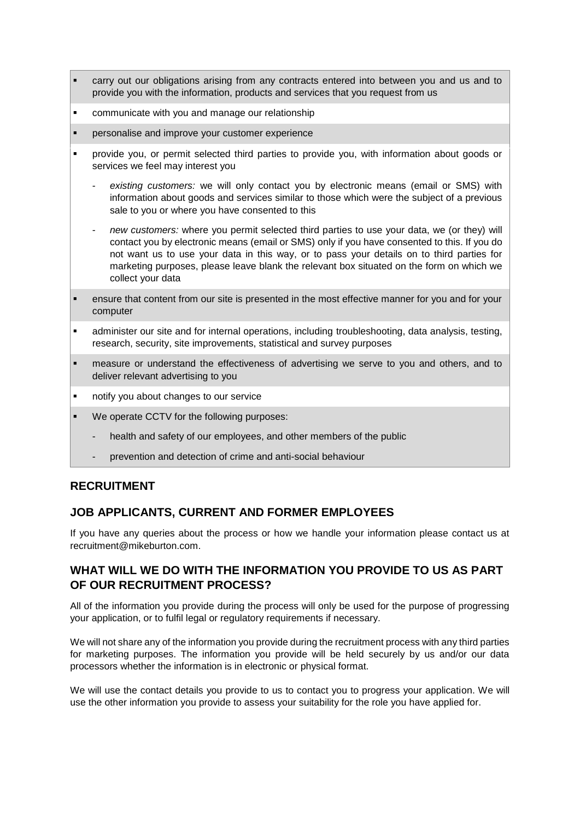- carry out our obligations arising from any contracts entered into between you and us and to provide you with the information, products and services that you request from us
- communicate with you and manage our relationship
- personalise and improve your customer experience
- provide you, or permit selected third parties to provide you, with information about goods or services we feel may interest you
	- existing customers: we will only contact you by electronic means (email or SMS) with information about goods and services similar to those which were the subject of a previous sale to you or where you have consented to this
	- *new customers:* where you permit selected third parties to use your data, we (or they) will contact you by electronic means (email or SMS) only if you have consented to this. If you do not want us to use your data in this way, or to pass your details on to third parties for marketing purposes, please leave blank the relevant box situated on the form on which we collect your data
- ensure that content from our site is presented in the most effective manner for you and for your computer
- administer our site and for internal operations, including troubleshooting, data analysis, testing, research, security, site improvements, statistical and survey purposes
- measure or understand the effectiveness of advertising we serve to you and others, and to deliver relevant advertising to you
- notify you about changes to our service
- We operate CCTV for the following purposes:
	- health and safety of our employees, and other members of the public
	- prevention and detection of crime and anti-social behaviour

# <span id="page-2-0"></span>**RECRUITMENT**

# **JOB APPLICANTS, CURRENT AND FORMER EMPLOYEES**

If you have any queries about the process or how we handle your information please contact us at recruitment@mikeburton.com.

# **WHAT WILL WE DO WITH THE INFORMATION YOU PROVIDE TO US AS PART OF OUR RECRUITMENT PROCESS?**

All of the information you provide during the process will only be used for the purpose of progressing your application, or to fulfil legal or regulatory requirements if necessary.

We will not share any of the information you provide during the recruitment process with any third parties for marketing purposes. The information you provide will be held securely by us and/or our data processors whether the information is in electronic or physical format.

We will use the contact details you provide to us to contact you to progress your application. We will use the other information you provide to assess your suitability for the role you have applied for.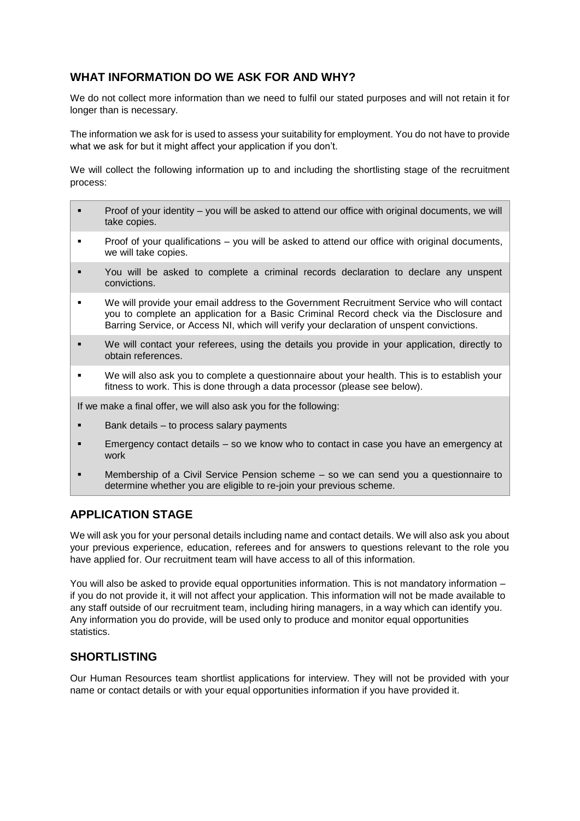# **WHAT INFORMATION DO WE ASK FOR AND WHY?**

We do not collect more information than we need to fulfil our stated purposes and will not retain it for longer than is necessary.

The information we ask for is used to assess your suitability for employment. You do not have to provide what we ask for but it might affect your application if you don't.

We will collect the following information up to and including the shortlisting stage of the recruitment process:

- Proof of your identity you will be asked to attend our office with original documents, we will take copies.
- **•** Proof of your qualifications you will be asked to attend our office with original documents, we will take copies.
- You will be asked to complete a criminal records declaration to declare any unspent convictions.
- We will provide your email address to the Government Recruitment Service who will contact you to complete an application for a Basic Criminal Record check via the Disclosure and Barring Service, or Access NI, which will verify your declaration of unspent convictions.
- We will contact your referees, using the details you provide in your application, directly to obtain references.
- We will also ask you to complete a questionnaire about your health. This is to establish your fitness to work. This is done through a data processor (please see below).

If we make a final offer, we will also ask you for the following:

- Bank details to process salary payments
- **Emergency contact details so we know who to contact in case you have an emergency at** work
- **■** Membership of a Civil Service Pension scheme so we can send you a questionnaire to determine whether you are eligible to re-join your previous scheme.

# **APPLICATION STAGE**

We will ask you for your personal details including name and contact details. We will also ask you about your previous experience, education, referees and for answers to questions relevant to the role you have applied for. Our recruitment team will have access to all of this information.

You will also be asked to provide equal opportunities information. This is not mandatory information – if you do not provide it, it will not affect your application. This information will not be made available to any staff outside of our recruitment team, including hiring managers, in a way which can identify you. Any information you do provide, will be used only to produce and monitor equal opportunities statistics.

# **SHORTLISTING**

Our Human Resources team shortlist applications for interview. They will not be provided with your name or contact details or with your equal opportunities information if you have provided it.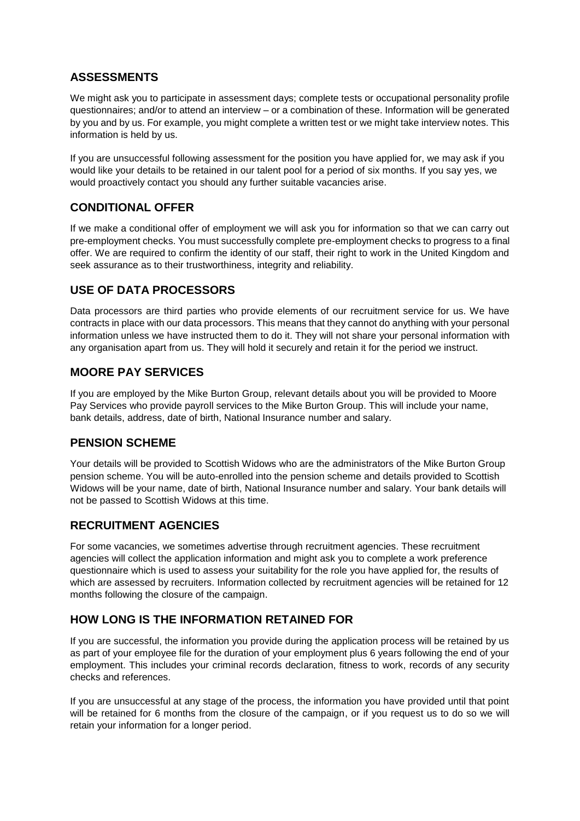# **ASSESSMENTS**

We might ask you to participate in assessment days; complete tests or occupational personality profile questionnaires; and/or to attend an interview – or a combination of these. Information will be generated by you and by us. For example, you might complete a written test or we might take interview notes. This information is held by us.

If you are unsuccessful following assessment for the position you have applied for, we may ask if you would like your details to be retained in our talent pool for a period of six months. If you say yes, we would proactively contact you should any further suitable vacancies arise.

# **CONDITIONAL OFFER**

If we make a conditional offer of employment we will ask you for information so that we can carry out pre-employment checks. You must successfully complete pre-employment checks to progress to a final offer. We are required to confirm the identity of our staff, their right to work in the United Kingdom and seek assurance as to their trustworthiness, integrity and reliability.

# **USE OF DATA PROCESSORS**

Data processors are third parties who provide elements of our recruitment service for us. We have contracts in place with our data processors. This means that they cannot do anything with your personal information unless we have instructed them to do it. They will not share your personal information with any organisation apart from us. They will hold it securely and retain it for the period we instruct.

# **MOORE PAY SERVICES**

If you are employed by the Mike Burton Group, relevant details about you will be provided to Moore Pay Services who provide payroll services to the Mike Burton Group. This will include your name, bank details, address, date of birth, National Insurance number and salary.

# **PENSION SCHEME**

Your details will be provided to Scottish Widows who are the administrators of the Mike Burton Group pension scheme. You will be auto-enrolled into the pension scheme and details provided to Scottish Widows will be your name, date of birth, National Insurance number and salary. Your bank details will not be passed to Scottish Widows at this time.

# **RECRUITMENT AGENCIES**

For some vacancies, we sometimes advertise through recruitment agencies. These recruitment agencies will collect the application information and might ask you to complete a work preference questionnaire which is used to assess your suitability for the role you have applied for, the results of which are assessed by recruiters. Information collected by recruitment agencies will be retained for 12 months following the closure of the campaign.

# **HOW LONG IS THE INFORMATION RETAINED FOR**

If you are successful, the information you provide during the application process will be retained by us as part of your employee file for the duration of your employment plus 6 years following the end of your employment. This includes your criminal records declaration, fitness to work, records of any security checks and references.

If you are unsuccessful at any stage of the process, the information you have provided until that point will be retained for 6 months from the closure of the campaign, or if you request us to do so we will retain your information for a longer period.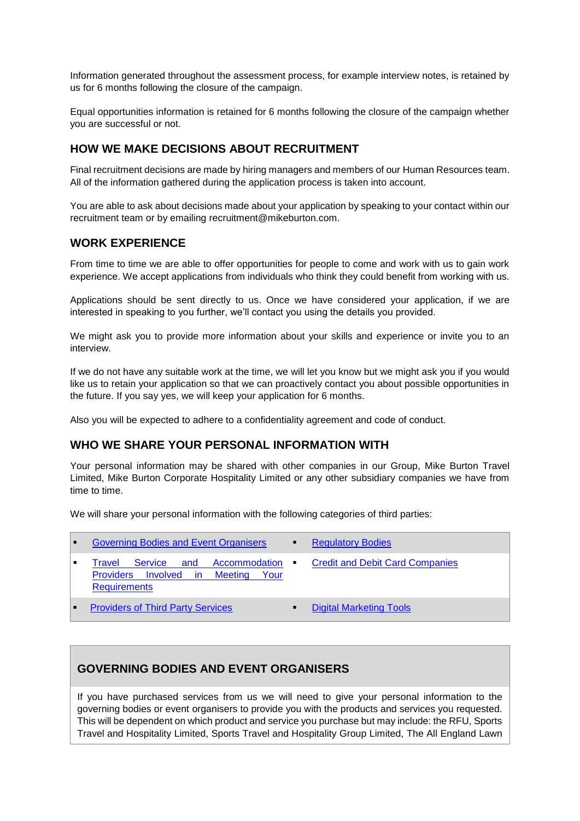Information generated throughout the assessment process, for example interview notes, is retained by us for 6 months following the closure of the campaign.

Equal opportunities information is retained for 6 months following the closure of the campaign whether you are successful or not.

### **HOW WE MAKE DECISIONS ABOUT RECRUITMENT**

Final recruitment decisions are made by hiring managers and members of our Human Resources team. All of the information gathered during the application process is taken into account.

You are able to ask about decisions made about your application by speaking to your contact within our recruitment team or by emailing recruitment@mikeburton.com.

### **WORK EXPERIENCE**

From time to time we are able to offer opportunities for people to come and work with us to gain work experience. We accept applications from individuals who think they could benefit from working with us.

Applications should be sent directly to us. Once we have considered your application, if we are interested in speaking to you further, we'll contact you using the details you provided.

We might ask you to provide more information about your skills and experience or invite you to an interview.

If we do not have any suitable work at the time, we will let you know but we might ask you if you would like us to retain your application so that we can proactively contact you about possible opportunities in the future. If you say yes, we will keep your application for 6 months.

Also you will be expected to adhere to a confidentiality agreement and code of conduct.

### <span id="page-5-0"></span>**WHO WE SHARE YOUR PERSONAL INFORMATION WITH**

Your personal information may be shared with other companies in our Group, Mike Burton Travel Limited, Mike Burton Corporate Hospitality Limited or any other subsidiary companies we have from time to time.

We will share your personal information with the following categories of third parties:

| $\blacksquare$            | <b>Governing Bodies and Event Organisers</b>                                                                      | <b>Regulatory Bodies</b>               |
|---------------------------|-------------------------------------------------------------------------------------------------------------------|----------------------------------------|
|                           | Service and<br>– Accommodation<br>Travel<br>Providers Involved in Meeting<br><b>Provid</b><br><b>Requirements</b> | <b>Credit and Debit Card Companies</b> |
| $\mathbf{H}^{\text{max}}$ | <b>Providers of Third Party Services</b>                                                                          | <b>Digital Marketing Tools</b>         |

### <span id="page-5-1"></span>**GOVERNING BODIES AND EVENT ORGANISERS**

If you have purchased services from us we will need to give your personal information to the governing bodies or event organisers to provide you with the products and services you requested. This will be dependent on which product and service you purchase but may include: the RFU, Sports Travel and Hospitality Limited, Sports Travel and Hospitality Group Limited, The All England Lawn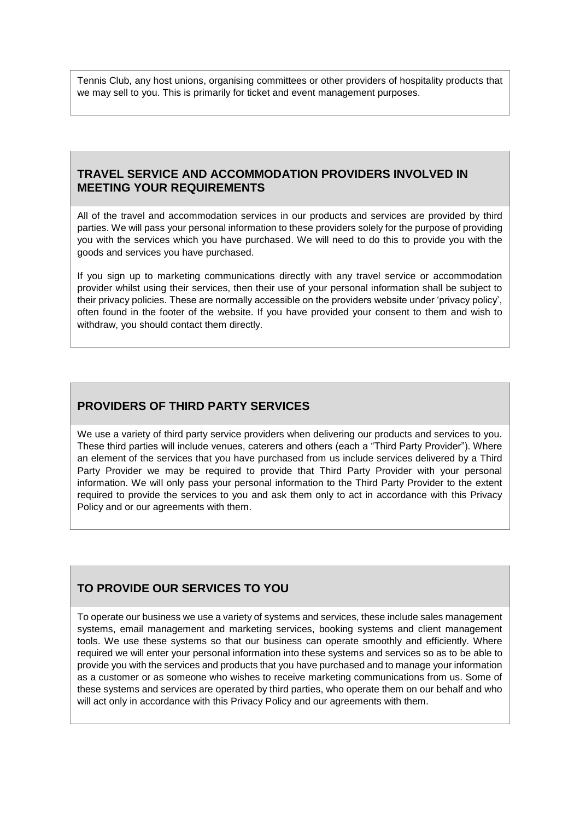Tennis Club, any host unions, organising committees or other providers of hospitality products that we may sell to you. This is primarily for ticket and event management purposes.

### <span id="page-6-0"></span>**TRAVEL SERVICE AND ACCOMMODATION PROVIDERS INVOLVED IN MEETING YOUR REQUIREMENTS**

All of the travel and accommodation services in our products and services are provided by third parties. We will pass your personal information to these providers solely for the purpose of providing you with the services which you have purchased. We will need to do this to provide you with the goods and services you have purchased.

If you sign up to marketing communications directly with any travel service or accommodation provider whilst using their services, then their use of your personal information shall be subject to their privacy policies. These are normally accessible on the providers website under 'privacy policy', often found in the footer of the website. If you have provided your consent to them and wish to withdraw, you should contact them directly.

# <span id="page-6-1"></span>**PROVIDERS OF THIRD PARTY SERVICES**

We use a variety of third party service providers when delivering our products and services to you. These third parties will include venues, caterers and others (each a "Third Party Provider"). Where an element of the services that you have purchased from us include services delivered by a Third Party Provider we may be required to provide that Third Party Provider with your personal information. We will only pass your personal information to the Third Party Provider to the extent required to provide the services to you and ask them only to act in accordance with this Privacy Policy and or our agreements with them.

# **TO PROVIDE OUR SERVICES TO YOU**

To operate our business we use a variety of systems and services, these include sales management systems, email management and marketing services, booking systems and client management tools. We use these systems so that our business can operate smoothly and efficiently. Where required we will enter your personal information into these systems and services so as to be able to provide you with the services and products that you have purchased and to manage your information as a customer or as someone who wishes to receive marketing communications from us. Some of these systems and services are operated by third parties, who operate them on our behalf and who will act only in accordance with this Privacy Policy and our agreements with them.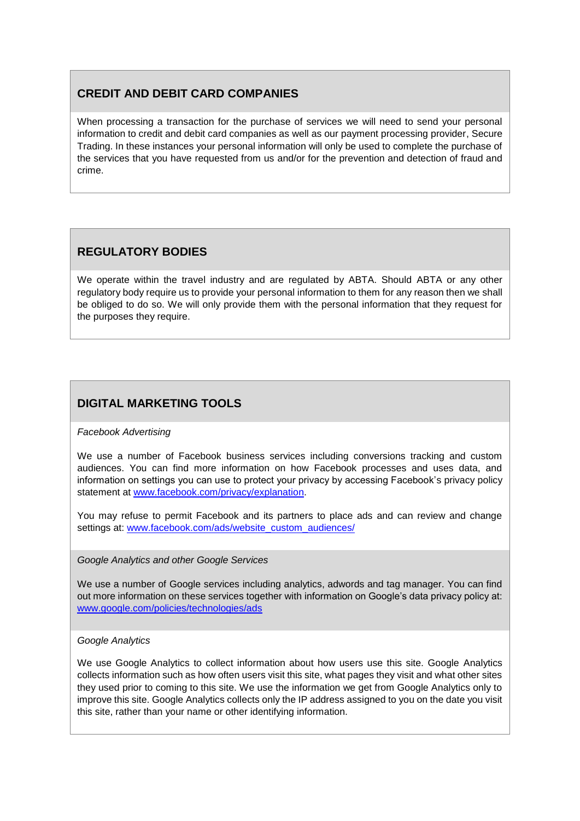# <span id="page-7-1"></span>**CREDIT AND DEBIT CARD COMPANIES**

When processing a transaction for the purchase of services we will need to send your personal information to credit and debit card companies as well as our payment processing provider, Secure Trading. In these instances your personal information will only be used to complete the purchase of the services that you have requested from us and/or for the prevention and detection of fraud and crime.

# <span id="page-7-0"></span>**REGULATORY BODIES**

We operate within the travel industry and are regulated by ABTA. Should ABTA or any other regulatory body require us to provide your personal information to them for any reason then we shall be obliged to do so. We will only provide them with the personal information that they request for the purposes they require.

# <span id="page-7-2"></span>**DIGITAL MARKETING TOOLS**

### *Facebook Advertising*

We use a number of Facebook business services including conversions tracking and custom audiences. You can find more information on how Facebook processes and uses data, and information on settings you can use to protect your privacy by accessing Facebook's privacy policy statement at www.facebook.com/privacy/explanation.

You may refuse to permit Facebook and its partners to place ads and can review and change settings at: [www.facebook.com/ads/website\\_custom\\_audiences/](http://www.facebook.com/ads/website_custom_audiences/)

### *Google Analytics and other Google Services*

We use a number of Google services including analytics, adwords and tag manager. You can find out more information on these services together with information on Google's data privacy policy at: [www.google.com/policies/technologies/ads](http://www.google.com/policies/technologies/ads)

### *Google Analytics*

We use Google Analytics to collect information about how users use this site. Google Analytics collects information such as how often users visit this site, what pages they visit and what other sites they used prior to coming to this site. We use the information we get from Google Analytics only to improve this site. Google Analytics collects only the IP address assigned to you on the date you visit this site, rather than your name or other identifying information.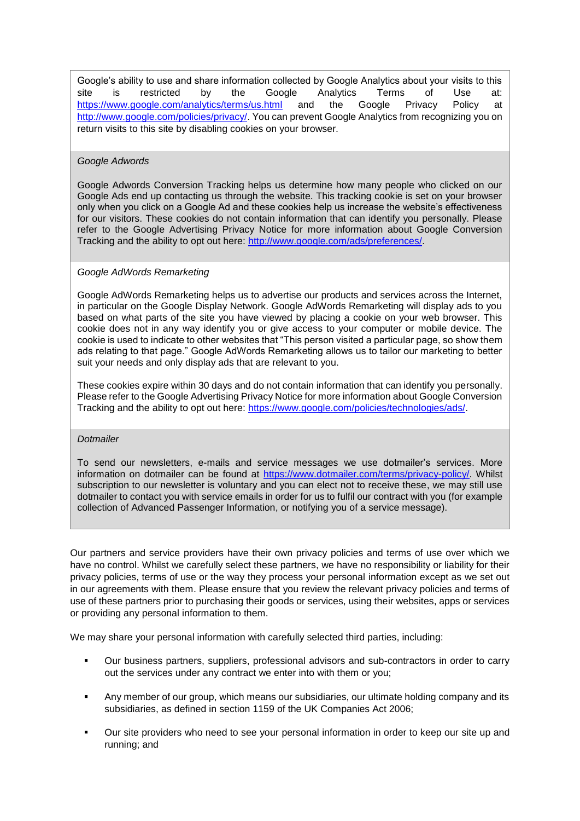Google's ability to use and share information collected by Google Analytics about your visits to this site is restricted by the Google Analytics Terms of Use at: <https://www.google.com/analytics/terms/us.html> and the Google Privacy Policy at [http://www.google.com/policies/privacy/.](http://www.google.com/policies/privacy/) You can prevent Google Analytics from recognizing you on return visits to this site by disabling cookies on your browser.

#### *Google Adwords*

Google Adwords Conversion Tracking helps us determine how many people who clicked on our Google Ads end up contacting us through the website. This tracking cookie is set on your browser only when you click on a Google Ad and these cookies help us increase the website's effectiveness for our visitors. These cookies do not contain information that can identify you personally. Please refer to the Google Advertising Privacy Notice for more information about Google Conversion Tracking and the ability to opt out here: [http://www.google.com/ads/preferences/.](http://www.google.com/ads/preferences/)

#### *Google AdWords Remarketing*

Google AdWords Remarketing helps us to advertise our products and services across the Internet, in particular on the Google Display Network. Google AdWords Remarketing will display ads to you based on what parts of the site you have viewed by placing a cookie on your web browser. This cookie does not in any way identify you or give access to your computer or mobile device. The cookie is used to indicate to other websites that "This person visited a particular page, so show them ads relating to that page." Google AdWords Remarketing allows us to tailor our marketing to better suit your needs and only display ads that are relevant to you.

These cookies expire within 30 days and do not contain information that can identify you personally. Please refer to the Google Advertising Privacy Notice for more information about Google Conversion Tracking and the ability to opt out here: [https://www.google.com/policies/technologies/ads/.](https://www.google.com/policies/technologies/ads/)

#### *Dotmailer*

To send our newsletters, e-mails and service messages we use dotmailer's services. More information on dotmailer can be found at [https://www.dotmailer.com/terms/privacy-policy/.](https://www.dotmailer.com/terms/privacy-policy/) Whilst subscription to our newsletter is voluntary and you can elect not to receive these, we may still use dotmailer to contact you with service emails in order for us to fulfil our contract with you (for example collection of Advanced Passenger Information, or notifying you of a service message).

Our partners and service providers have their own privacy policies and terms of use over which we have no control. Whilst we carefully select these partners, we have no responsibility or liability for their privacy policies, terms of use or the way they process your personal information except as we set out in our agreements with them. Please ensure that you review the relevant privacy policies and terms of use of these partners prior to purchasing their goods or services, using their websites, apps or services or providing any personal information to them.

We may share your personal information with carefully selected third parties, including:

- Our business partners, suppliers, professional advisors and sub-contractors in order to carry out the services under any contract we enter into with them or you;
- Any member of our group, which means our subsidiaries, our ultimate holding company and its subsidiaries, as defined in section 1159 of the UK Companies Act 2006;
- Our site providers who need to see your personal information in order to keep our site up and running; and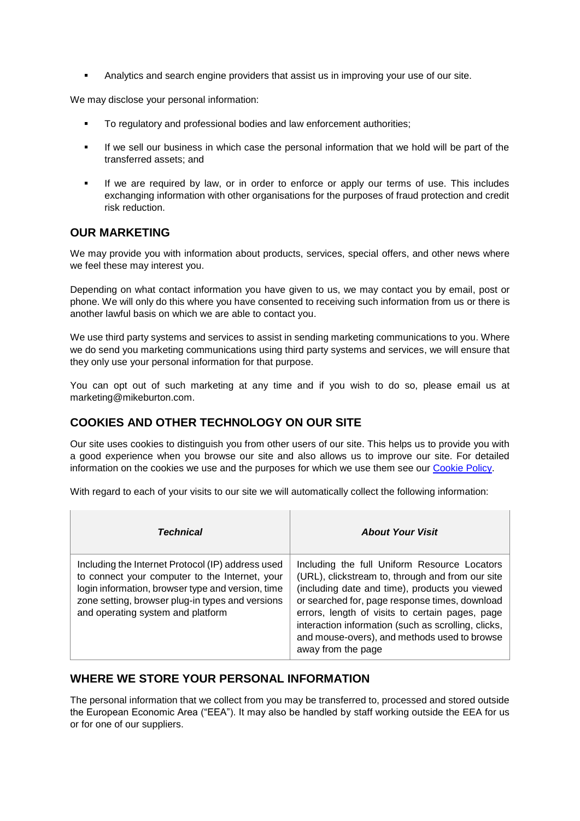Analytics and search engine providers that assist us in improving your use of our site.

We may disclose your personal information:

- To regulatory and professional bodies and law enforcement authorities;
- If we sell our business in which case the personal information that we hold will be part of the transferred assets; and
- If we are required by law, or in order to enforce or apply our terms of use. This includes exchanging information with other organisations for the purposes of fraud protection and credit risk reduction.

### <span id="page-9-0"></span>**OUR MARKETING**

We may provide you with information about products, services, special offers, and other news where we feel these may interest you.

Depending on what contact information you have given to us, we may contact you by email, post or phone. We will only do this where you have consented to receiving such information from us or there is another lawful basis on which we are able to contact you.

We use third party systems and services to assist in sending marketing communications to you. Where we do send you marketing communications using third party systems and services, we will ensure that they only use your personal information for that purpose.

You can opt out of such marketing at any time and if you wish to do so, please email us at marketing@mikeburton.com.

# **COOKIES AND OTHER TECHNOLOGY ON OUR SITE**

Our site uses cookies to distinguish you from other users of our site. This helps us to provide you with a good experience when you browse our site and also allows us to improve our site. For detailed information on the cookies we use and the purposes for which we use them see our [Cookie Policy.](https://www.mikeburton.com/privacy-policy/cookie-policy/)

With regard to each of your visits to our site we will automatically collect the following information:

| <b>Technical</b>                                                                                                                                                                                                                                  | <b>About Your Visit</b>                                                                                                                                                                                                                                                                                                                                                              |
|---------------------------------------------------------------------------------------------------------------------------------------------------------------------------------------------------------------------------------------------------|--------------------------------------------------------------------------------------------------------------------------------------------------------------------------------------------------------------------------------------------------------------------------------------------------------------------------------------------------------------------------------------|
| Including the Internet Protocol (IP) address used<br>to connect your computer to the Internet, your<br>login information, browser type and version, time<br>zone setting, browser plug-in types and versions<br>and operating system and platform | Including the full Uniform Resource Locators<br>(URL), clickstream to, through and from our site<br>(including date and time), products you viewed<br>or searched for, page response times, download<br>errors, length of visits to certain pages, page<br>interaction information (such as scrolling, clicks,<br>and mouse-overs), and methods used to browse<br>away from the page |

# **WHERE WE STORE YOUR PERSONAL INFORMATION**

The personal information that we collect from you may be transferred to, processed and stored outside the European Economic Area ("EEA"). It may also be handled by staff working outside the EEA for us or for one of our suppliers.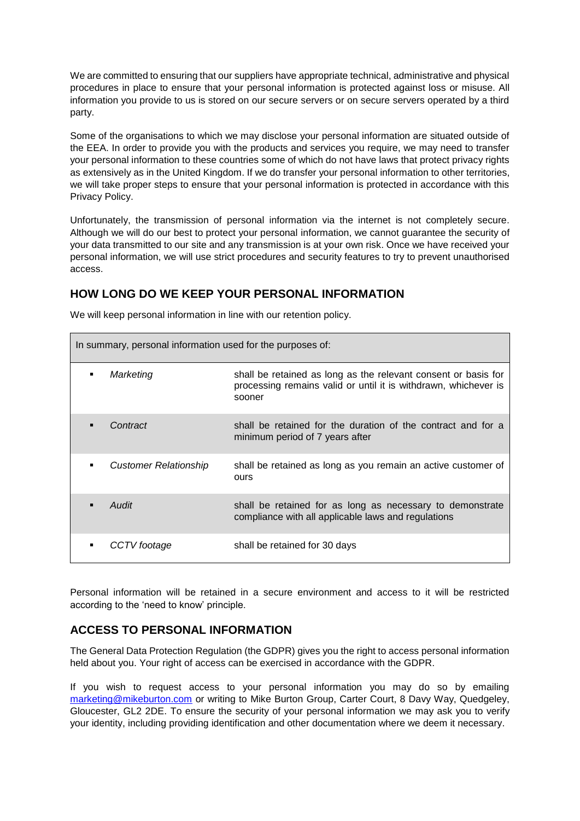We are committed to ensuring that our suppliers have appropriate technical, administrative and physical procedures in place to ensure that your personal information is protected against loss or misuse. All information you provide to us is stored on our secure servers or on secure servers operated by a third party.

Some of the organisations to which we may disclose your personal information are situated outside of the EEA. In order to provide you with the products and services you require, we may need to transfer your personal information to these countries some of which do not have laws that protect privacy rights as extensively as in the United Kingdom. If we do transfer your personal information to other territories, we will take proper steps to ensure that your personal information is protected in accordance with this Privacy Policy.

Unfortunately, the transmission of personal information via the internet is not completely secure. Although we will do our best to protect your personal information, we cannot guarantee the security of your data transmitted to our site and any transmission is at your own risk. Once we have received your personal information, we will use strict procedures and security features to try to prevent unauthorised access.

# <span id="page-10-0"></span>**HOW LONG DO WE KEEP YOUR PERSONAL INFORMATION**

| In summary, personal information used for the purposes of: |                              |                                                                                                                                             |  |
|------------------------------------------------------------|------------------------------|---------------------------------------------------------------------------------------------------------------------------------------------|--|
| ٠                                                          | Marketing                    | shall be retained as long as the relevant consent or basis for<br>processing remains valid or until it is withdrawn, whichever is<br>sooner |  |
|                                                            | Contract                     | shall be retained for the duration of the contract and for a<br>minimum period of 7 years after                                             |  |
|                                                            | <b>Customer Relationship</b> | shall be retained as long as you remain an active customer of<br>ours                                                                       |  |
|                                                            | Audit                        | shall be retained for as long as necessary to demonstrate<br>compliance with all applicable laws and regulations                            |  |
|                                                            | CCTV footage                 | shall be retained for 30 days                                                                                                               |  |

We will keep personal information in line with our retention policy.

Personal information will be retained in a secure environment and access to it will be restricted according to the 'need to know' principle.

# <span id="page-10-1"></span>**ACCESS TO PERSONAL INFORMATION**

The General Data Protection Regulation (the GDPR) gives you the right to access personal information held about you. Your right of access can be exercised in accordance with the GDPR.

If you wish to request access to your personal information you may do so by emailing [marketing@mikeburton.com](mailto:marketing@mikeburton.com) or writing to Mike Burton Group, Carter Court, 8 Davy Way, Quedgeley, Gloucester, GL2 2DE. To ensure the security of your personal information we may ask you to verify your identity, including providing identification and other documentation where we deem it necessary.